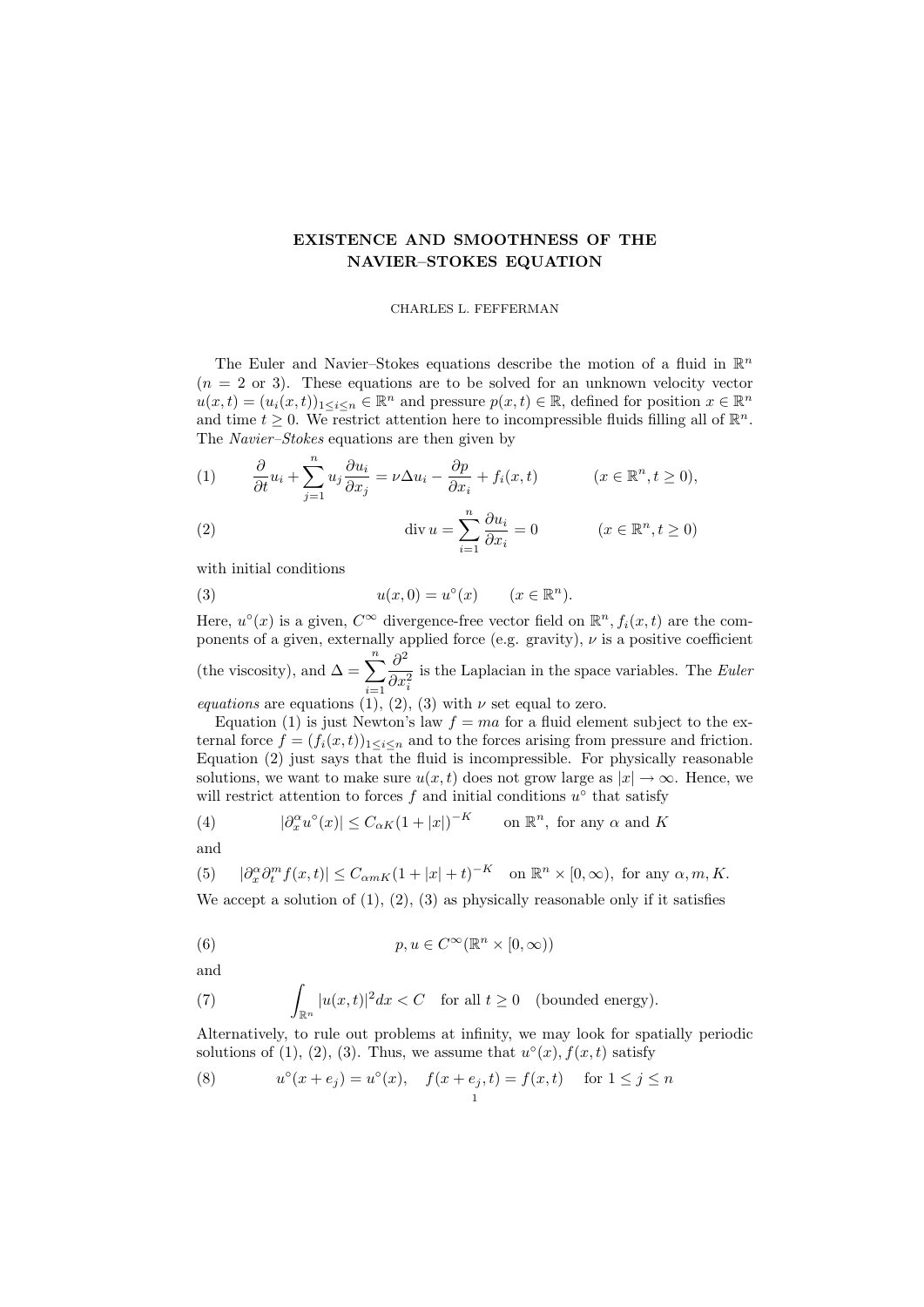## EXISTENCE AND SMOOTHNESS OF THE NAVIER–STOKES EQUATION

## CHARLES L. FEFFERMAN

The Euler and Navier-Stokes equations describe the motion of a fluid in  $\mathbb{R}^n$  $(n = 2 \text{ or } 3)$ . These equations are to be solved for an unknown velocity vector  $u(x,t) = (u_i(x,t))_{1 \leq i \leq n} \in \mathbb{R}^n$  and pressure  $p(x,t) \in \mathbb{R}$ , defined for position  $x \in \mathbb{R}^n$ and time  $t \geq 0$ . We restrict attention here to incompressible fluids filling all of  $\mathbb{R}^n$ . The Navier–Stokes equations are then given by

(1) 
$$
\frac{\partial}{\partial t}u_i + \sum_{j=1}^n u_j \frac{\partial u_i}{\partial x_j} = \nu \Delta u_i - \frac{\partial p}{\partial x_i} + f_i(x, t) \qquad (x \in \mathbb{R}^n, t \ge 0),
$$

(2) 
$$
\operatorname{div} u = \sum_{i=1}^{n} \frac{\partial u_i}{\partial x_i} = 0 \qquad (x \in \mathbb{R}^n, t \ge 0)
$$

with initial conditions

(3) 
$$
u(x,0) = u^{\circ}(x) \qquad (x \in \mathbb{R}^{n}).
$$

Here,  $u^{\circ}(x)$  is a given,  $C^{\infty}$  divergence-free vector field on  $\mathbb{R}^{n}$ ,  $f_i(x,t)$  are the components of a given, externally applied force (e.g. gravity),  $\nu$  is a positive coefficient (the viscosity), and  $\Delta = \sum_{n=1}^n$  $i=1$  $\partial^2$  $\partial x_i^2$ is the Laplacian in the space variables. The Euler equations are equations (1), (2), (3) with  $\nu$  set equal to zero.

Equation (1) is just Newton's law  $f = ma$  for a fluid element subject to the external force  $f = (f_i(x, t))_{1 \leq i \leq n}$  and to the forces arising from pressure and friction. Equation (2) just says that the fluid is incompressible. For physically reasonable solutions, we want to make sure  $u(x, t)$  does not grow large as  $|x| \to \infty$ . Hence, we will restrict attention to forces  $f$  and initial conditions  $u^{\circ}$  that satisfy

(4) 
$$
|\partial_x^{\alpha} u^{\circ}(x)| \leq C_{\alpha K} (1+|x|)^{-K} \quad \text{on } \mathbb{R}^n, \text{ for any } \alpha \text{ and } K
$$

and

(5) 
$$
|\partial_x^{\alpha} \partial_t^m f(x,t)| \le C_{\alpha m K} (1+|x|+t)^{-K} \quad \text{on } \mathbb{R}^n \times [0,\infty), \text{ for any } \alpha, m, K.
$$

We accept a solution of  $(1)$ ,  $(2)$ ,  $(3)$  as physically reasonable only if it satisfies

(6) 
$$
p, u \in C^{\infty}(\mathbb{R}^n \times [0, \infty))
$$

and

(7) 
$$
\int_{\mathbb{R}^n} |u(x,t)|^2 dx < C \text{ for all } t \ge 0 \text{ (bounded energy)}.
$$

Alternatively, to rule out problems at infinity, we may look for spatially periodic solutions of (1), (2), (3). Thus, we assume that  $u^{\circ}(x)$ ,  $f(x,t)$  satisfy

(8) 
$$
u^{\circ}(x+e_j) = u^{\circ}(x), \quad f(x+e_j,t) = f(x,t) \quad \text{for } 1 \leq j \leq n
$$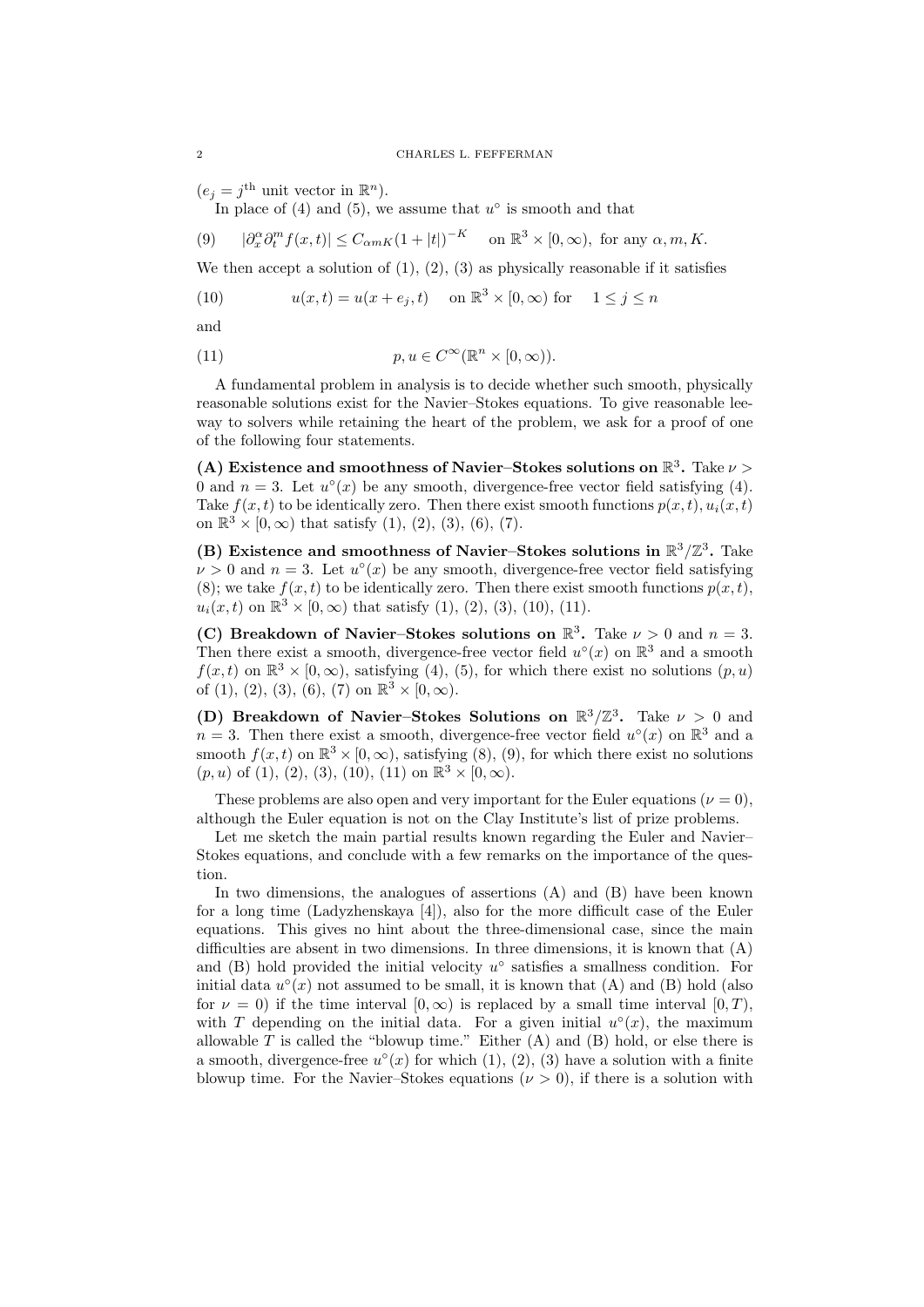$(e_j = j^{\text{th}} \text{ unit vector in } \mathbb{R}^n).$ 

In place of  $(4)$  and  $(5)$ , we assume that  $u^{\circ}$  is smooth and that

$$
(9) \qquad |\partial_x^{\alpha}\partial_t^m f(x,t)| \le C_{\alpha mK}(1+|t|)^{-K} \quad \text{ on } \mathbb{R}^3 \times [0,\infty), \text{ for any } \alpha, m, K.
$$

We then accept a solution of  $(1)$ ,  $(2)$ ,  $(3)$  as physically reasonable if it satisfies

(10) 
$$
u(x,t) = u(x+e_j,t) \quad \text{on } \mathbb{R}^3 \times [0,\infty) \text{ for } 1 \le j \le n
$$

and

(11) 
$$
p, u \in C^{\infty}(\mathbb{R}^n \times [0, \infty)).
$$

A fundamental problem in analysis is to decide whether such smooth, physically reasonable solutions exist for the Navier–Stokes equations. To give reasonable leeway to solvers while retaining the heart of the problem, we ask for a proof of one of the following four statements.

(A) Existence and smoothness of Navier-Stokes solutions on  $\mathbb{R}^3$ . Take  $\nu >$ 0 and  $n = 3$ . Let  $u^{\circ}(x)$  be any smooth, divergence-free vector field satisfying (4). Take  $f(x, t)$  to be identically zero. Then there exist smooth functions  $p(x, t)$ ,  $u_i(x, t)$ on  $\mathbb{R}^3 \times [0, \infty)$  that satisfy  $(1), (2), (3), (6), (7)$ .

(B) Existence and smoothness of Navier-Stokes solutions in  $\mathbb{R}^3/\mathbb{Z}^3$ . Take  $\nu > 0$  and  $n = 3$ . Let  $u^{\circ}(x)$  be any smooth, divergence-free vector field satisfying (8); we take  $f(x, t)$  to be identically zero. Then there exist smooth functions  $p(x, t)$ ,  $u_i(x,t)$  on  $\mathbb{R}^3 \times [0,\infty)$  that satisfy (1), (2), (3), (10), (11).

(C) Breakdown of Navier–Stokes solutions on  $\mathbb{R}^3$ . Take  $\nu > 0$  and  $n = 3$ . Then there exist a smooth, divergence-free vector field  $u^{\circ}(x)$  on  $\mathbb{R}^{3}$  and a smooth  $f(x,t)$  on  $\mathbb{R}^3 \times [0,\infty)$ , satisfying (4), (5), for which there exist no solutions  $(p,u)$ of (1), (2), (3), (6), (7) on  $\mathbb{R}^3 \times [0, \infty)$ .

(D) Breakdown of Navier–Stokes Solutions on  $\mathbb{R}^3/\mathbb{Z}^3$ . Take  $\nu > 0$  and  $n = 3$ . Then there exist a smooth, divergence-free vector field  $u^{\circ}(x)$  on  $\mathbb{R}^3$  and a smooth  $f(x, t)$  on  $\mathbb{R}^3 \times [0, \infty)$ , satisfying  $(8), (9)$ , for which there exist no solutions  $(p, u)$  of (1), (2), (3), (10), (11) on  $\mathbb{R}^3 \times [0, \infty)$ .

These problems are also open and very important for the Euler equations ( $\nu = 0$ ). although the Euler equation is not on the Clay Institute's list of prize problems.

Let me sketch the main partial results known regarding the Euler and Navier– Stokes equations, and conclude with a few remarks on the importance of the question.

In two dimensions, the analogues of assertions (A) and (B) have been known for a long time (Ladyzhenskaya [4]), also for the more difficult case of the Euler equations. This gives no hint about the three-dimensional case, since the main difficulties are absent in two dimensions. In three dimensions, it is known that  $(A)$ and  $(B)$  hold provided the initial velocity  $u^{\circ}$  satisfies a smallness condition. For initial data  $u^{\circ}(x)$  not assumed to be small, it is known that  $(A)$  and  $(B)$  hold (also for  $\nu = 0$ ) if the time interval  $[0, \infty)$  is replaced by a small time interval  $[0, T)$ , with T depending on the initial data. For a given initial  $u^{\circ}(x)$ , the maximum allowable  $T$  is called the "blowup time." Either  $(A)$  and  $(B)$  hold, or else there is a smooth, divergence-free  $u^{\circ}(x)$  for which  $(1)$ ,  $(2)$ ,  $(3)$  have a solution with a finite blowup time. For the Navier–Stokes equations  $(\nu > 0)$ , if there is a solution with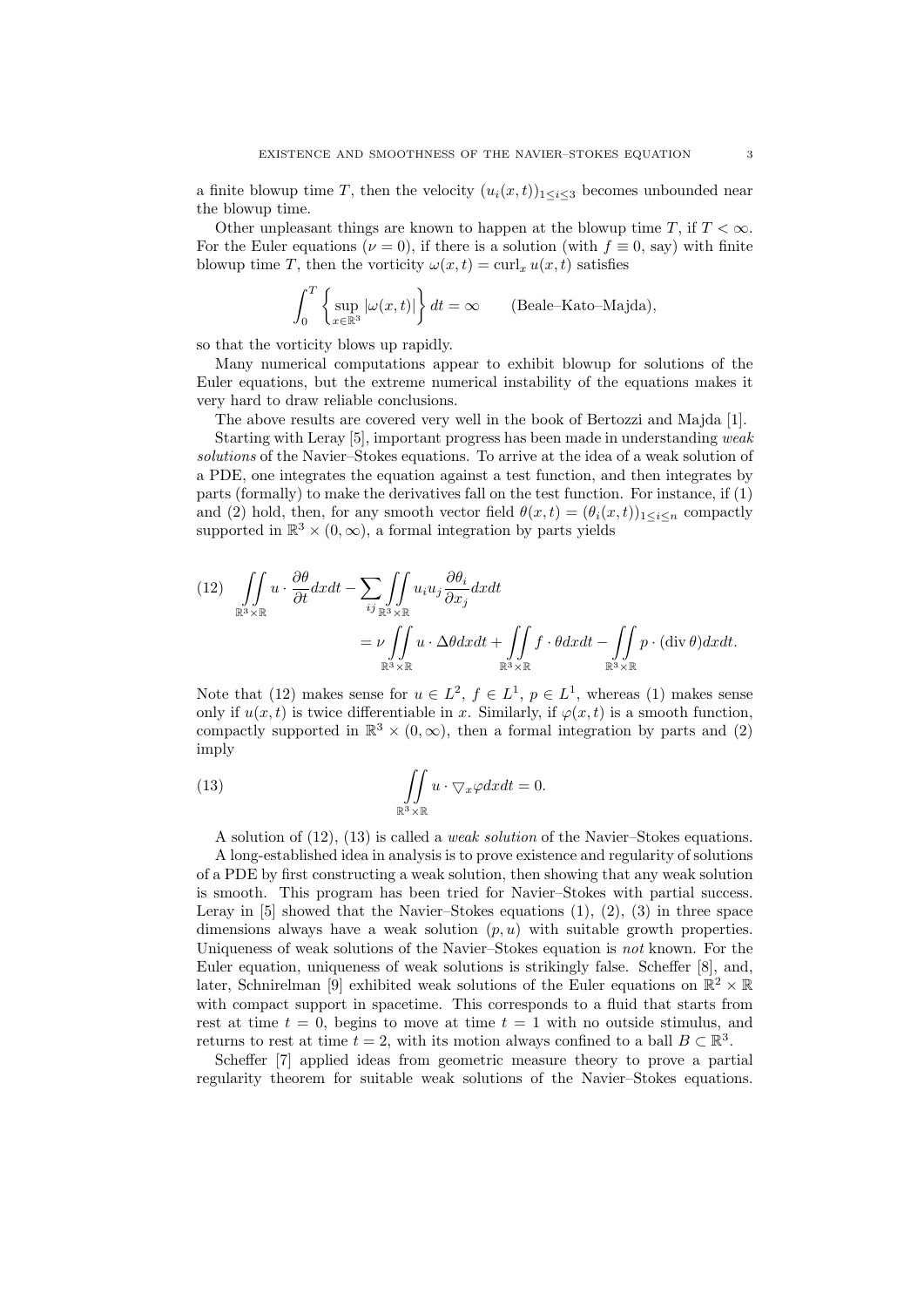a finite blowup time T, then the velocity  $(u_i(x,t))_{1\leq i\leq 3}$  becomes unbounded near the blowup time.

Other unpleasant things are known to happen at the blowup time T, if  $T < \infty$ . For the Euler equations ( $\nu = 0$ ), if there is a solution (with  $f \equiv 0$ , say) with finite blowup time T, then the vorticity  $\omega(x, t) = \text{curl}_x u(x, t)$  satisfies

$$
\int_0^T \left\{ \sup_{x \in \mathbb{R}^3} |\omega(x, t)| \right\} dt = \infty \quad \text{(Beale-Kato-Majda)},
$$

so that the vorticity blows up rapidly.

Many numerical computations appear to exhibit blowup for solutions of the Euler equations, but the extreme numerical instability of the equations makes it very hard to draw reliable conclusions.

The above results are covered very well in the book of Bertozzi and Majda [1].

Starting with Leray [5], important progress has been made in understanding weak solutions of the Navier–Stokes equations. To arrive at the idea of a weak solution of a PDE, one integrates the equation against a test function, and then integrates by parts (formally) to make the derivatives fall on the test function. For instance, if (1) and (2) hold, then, for any smooth vector field  $\theta(x, t) = (\theta_i(x, t))_{1 \le i \le n}$  compactly supported in  $\mathbb{R}^3 \times (0, \infty)$ , a formal integration by parts yields

$$
(12) \quad \iint\limits_{\mathbb{R}^3 \times \mathbb{R}} u \cdot \frac{\partial \theta}{\partial t} dx dt - \sum_{ij} \iint\limits_{\mathbb{R}^3 \times \mathbb{R}} u_i u_j \frac{\partial \theta_i}{\partial x_j} dx dt \n= \nu \iint\limits_{\mathbb{R}^3 \times \mathbb{R}} u \cdot \Delta \theta dx dt + \iint\limits_{\mathbb{R}^3 \times \mathbb{R}} f \cdot \theta dx dt - \iint\limits_{\mathbb{R}^3 \times \mathbb{R}} p \cdot (\text{div } \theta) dx dt.
$$

Note that (12) makes sense for  $u \in L^2$ ,  $f \in L^1$ ,  $p \in L^1$ , whereas (1) makes sense only if  $u(x, t)$  is twice differentiable in x. Similarly, if  $\varphi(x, t)$  is a smooth function, compactly supported in  $\mathbb{R}^3 \times (0, \infty)$ , then a formal integration by parts and (2) imply

(13) 
$$
\iint_{\mathbb{R}^3 \times \mathbb{R}} u \cdot \nabla_x \varphi dx dt = 0.
$$

A solution of (12), (13) is called a weak solution of the Navier–Stokes equations.

A long-established idea in analysis is to prove existence and regularity of solutions of a PDE by first constructing a weak solution, then showing that any weak solution is smooth. This program has been tried for Navier–Stokes with partial success. Leray in  $[5]$  showed that the Navier–Stokes equations  $(1), (2), (3)$  in three space dimensions always have a weak solution  $(p, u)$  with suitable growth properties. Uniqueness of weak solutions of the Navier–Stokes equation is not known. For the Euler equation, uniqueness of weak solutions is strikingly false. Scheffer [8], and, later, Schnirelman [9] exhibited weak solutions of the Euler equations on  $\mathbb{R}^2 \times \mathbb{R}$ with compact support in spacetime. This corresponds to a fluid that starts from rest at time  $t = 0$ , begins to move at time  $t = 1$  with no outside stimulus, and returns to rest at time  $t = 2$ , with its motion always confined to a ball  $B \subset \mathbb{R}^3$ .

Scheffer [7] applied ideas from geometric measure theory to prove a partial regularity theorem for suitable weak solutions of the Navier–Stokes equations.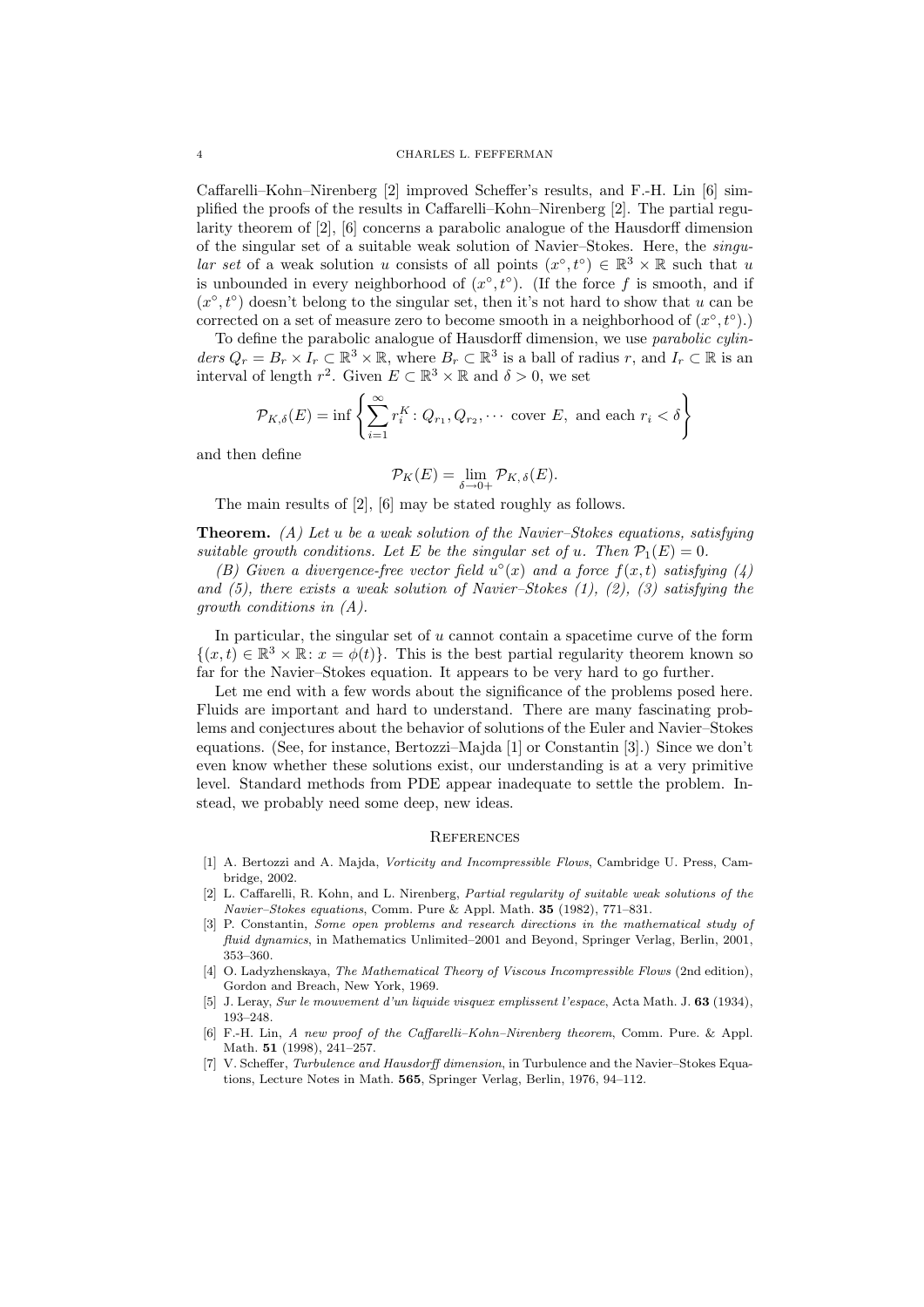Caffarelli–Kohn–Nirenberg [2] improved Scheffer's results, and F.-H. Lin [6] simplified the proofs of the results in Caffarelli–Kohn–Nirenberg [2]. The partial regularity theorem of [2], [6] concerns a parabolic analogue of the Hausdorff dimension of the singular set of a suitable weak solution of Navier–Stokes. Here, the singular set of a weak solution u consists of all points  $(x^{\circ}, t^{\circ}) \in \mathbb{R}^3 \times \mathbb{R}$  such that u is unbounded in every neighborhood of  $(x^{\circ}, t^{\circ})$ . (If the force f is smooth, and if  $(x^{\circ}, t^{\circ})$  doesn't belong to the singular set, then it's not hard to show that u can be corrected on a set of measure zero to become smooth in a neighborhood of  $(x^{\circ}, t^{\circ})$ .

To define the parabolic analogue of Hausdorff dimension, we use parabolic cylinders  $Q_r = B_r \times I_r \subset \mathbb{R}^3 \times \mathbb{R}$ , where  $B_r \subset \mathbb{R}^3$  is a ball of radius r, and  $I_r \subset \mathbb{R}$  is an interval of length  $r^2$ . Given  $E \subset \mathbb{R}^3 \times \mathbb{R}$  and  $\delta > 0$ , we set

$$
\mathcal{P}_{K,\delta}(E) = \inf \left\{ \sum_{i=1}^{\infty} r_i^K \colon Q_{r_1}, Q_{r_2}, \cdots \text{ cover } E, \text{ and each } r_i < \delta \right\}
$$

and then define

$$
\mathcal{P}_K(E) = \lim_{\delta \to 0+} \mathcal{P}_{K,\,\delta}(E).
$$

The main results of [2], [6] may be stated roughly as follows.

**Theorem.** (A) Let u be a weak solution of the Navier–Stokes equations, satisfying suitable growth conditions. Let E be the singular set of u. Then  $\mathcal{P}_1(E) = 0$ .

(B) Given a divergence-free vector field  $u^{\circ}(x)$  and a force  $f(x,t)$  satisfying (4) and  $(5)$ , there exists a weak solution of Navier–Stokes  $(1)$ ,  $(2)$ ,  $(3)$  satisfying the growth conditions in (A).

In particular, the singular set of  $u$  cannot contain a spacetime curve of the form  $\{(x,t)\in\mathbb{R}^3\times\mathbb{R}\colon x=\phi(t)\}.$  This is the best partial regularity theorem known so far for the Navier–Stokes equation. It appears to be very hard to go further.

Let me end with a few words about the significance of the problems posed here. Fluids are important and hard to understand. There are many fascinating problems and conjectures about the behavior of solutions of the Euler and Navier–Stokes equations. (See, for instance, Bertozzi–Majda [1] or Constantin [3].) Since we don't even know whether these solutions exist, our understanding is at a very primitive level. Standard methods from PDE appear inadequate to settle the problem. Instead, we probably need some deep, new ideas.

## **REFERENCES**

- [1] A. Bertozzi and A. Majda, Vorticity and Incompressible Flows, Cambridge U. Press, Cambridge, 2002.
- [2] L. Caffarelli, R. Kohn, and L. Nirenberg, Partial regularity of suitable weak solutions of the Navier–Stokes equations, Comm. Pure & Appl. Math. 35 (1982), 771–831.
- [3] P. Constantin, Some open problems and research directions in the mathematical study of fluid dynamics, in Mathematics Unlimited–2001 and Beyond, Springer Verlag, Berlin, 2001, 353–360.
- [4] O. Ladyzhenskaya, The Mathematical Theory of Viscous Incompressible Flows (2nd edition), Gordon and Breach, New York, 1969.
- [5] J. Leray, Sur le mouvement d'un liquide visquex emplissent l'espace, Acta Math. J. 63 (1934), 193–248.
- [6] F.-H. Lin, A new proof of the Caffarelli–Kohn–Nirenberg theorem, Comm. Pure. & Appl. Math. 51 (1998), 241–257.
- [7] V. Scheffer, Turbulence and Hausdorff dimension, in Turbulence and the Navier–Stokes Equations, Lecture Notes in Math. 565, Springer Verlag, Berlin, 1976, 94–112.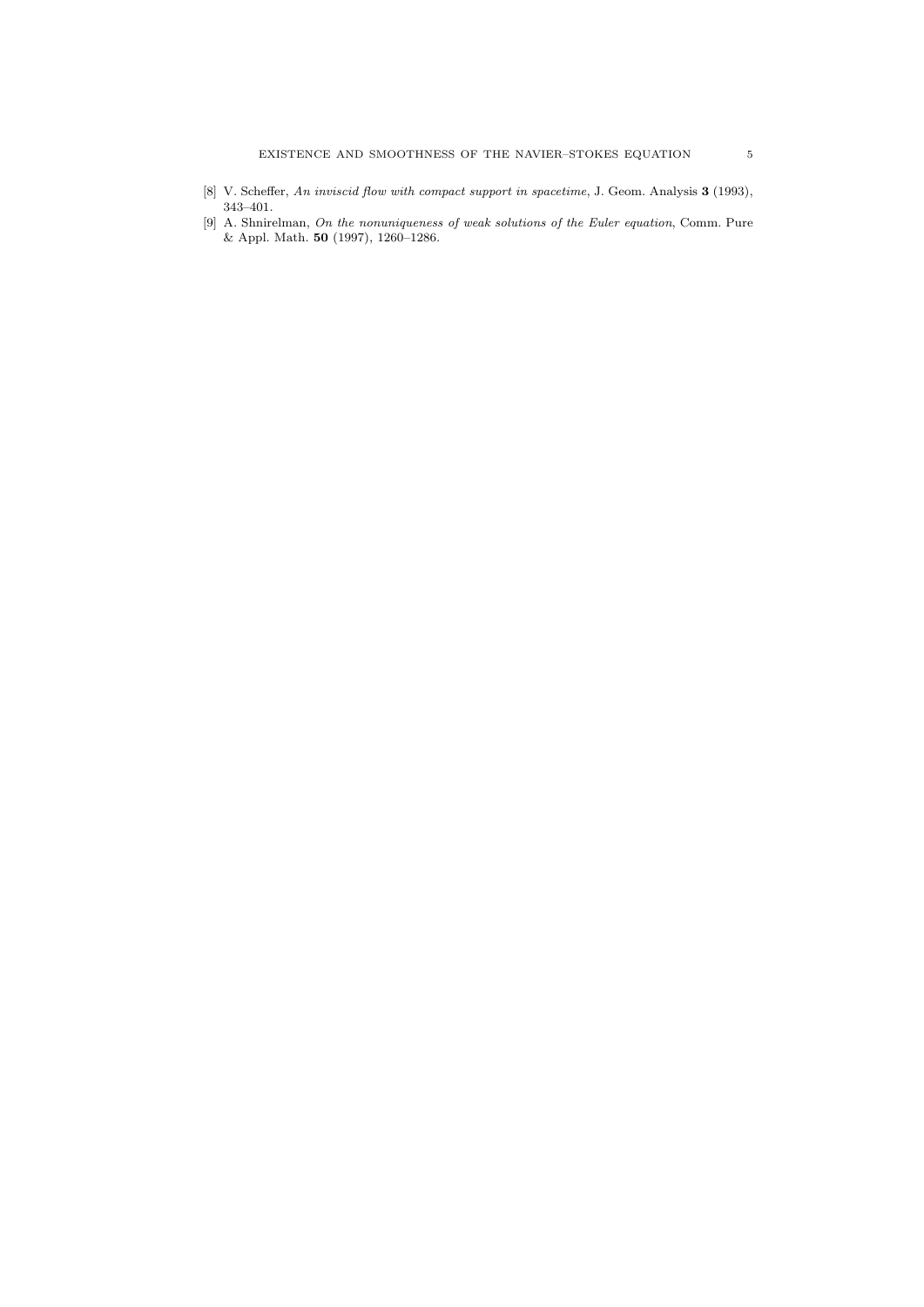- [8] V. Scheffer, An inviscid flow with compact support in spacetime, J. Geom. Analysis 3 (1993), 343–401.
- [9] A. Shnirelman, On the nonuniqueness of weak solutions of the Euler equation, Comm. Pure & Appl. Math. 50 (1997), 1260–1286.